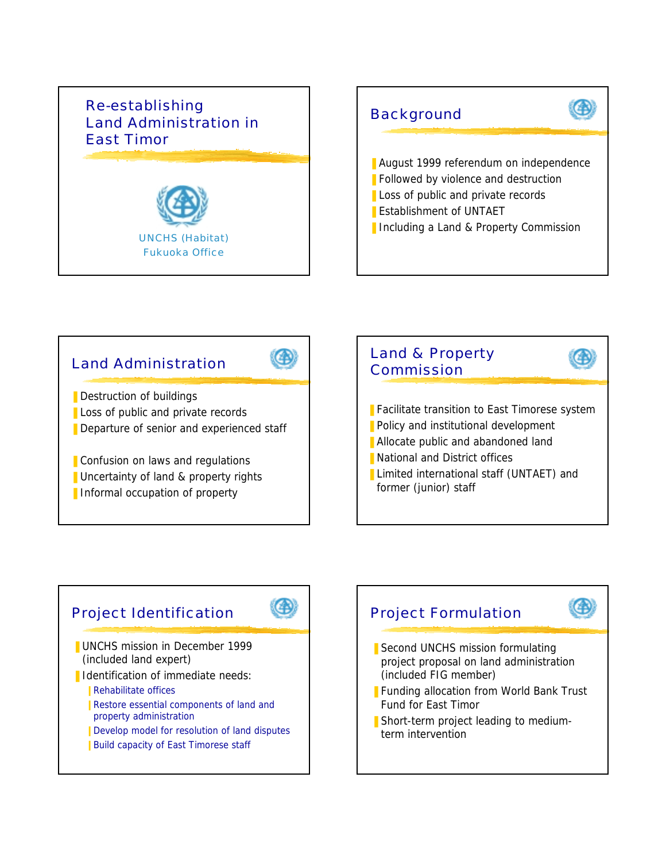## Re-establishing Land Administration in East Timor UNCHS (Habitat) Fukuoka Office **Background** ■ August 1999 referendum on independence ■ Followed by violence and destruction ■ Loss of public and private records ■ Establishment of UNTAET ■ Including a Land & Property Commission



 $\left(\begin{smallmatrix} 1\\ 1\end{smallmatrix}\right)$ 

# Project Identification

- **UNCHS mission in December 1999** (included land expert)
- Identification of immediate needs:
	- **Rehabilitate offices**
	- **Restore essential components of land and** property administration
	- **Ⅰ Develop model for resolution of land disputes**
	- Build capacity of East Timorese staff